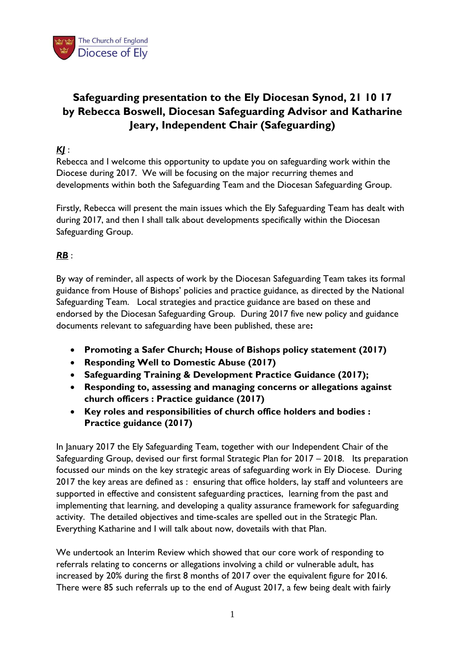

# **Safeguarding presentation to the Ely Diocesan Synod, 21 10 17 by Rebecca Boswell, Diocesan Safeguarding Advisor and Katharine Jeary, Independent Chair (Safeguarding)**

#### *KJ* :

Rebecca and I welcome this opportunity to update you on safeguarding work within the Diocese during 2017. We will be focusing on the major recurring themes and developments within both the Safeguarding Team and the Diocesan Safeguarding Group.

Firstly, Rebecca will present the main issues which the Ely Safeguarding Team has dealt with during 2017, and then I shall talk about developments specifically within the Diocesan Safeguarding Group.

## *RB* :

By way of reminder, all aspects of work by the Diocesan Safeguarding Team takes its formal guidance from House of Bishops' policies and practice guidance, as directed by the National Safeguarding Team. Local strategies and practice guidance are based on these and endorsed by the Diocesan Safeguarding Group. During 2017 five new policy and guidance documents relevant to safeguarding have been published, these are**:**

- **[Promoting a Safer Church;](https://www.churchofengland.org/media/3896819/cofe-policy-statement.pdf) House of Bishops policy statement (2017)**
- **[Responding Well to Domestic Abuse \(2017\)](https://www.churchofengland.org/media/4012254/responding-well-to-domestic-abuse-formatted-master-copy-030317.pdf)**
- **[Safeguarding Training & Development Practice Guidance \(2017\);](https://www.churchofengland.org/media/3791799/approved-practice-guidance-safeguarding-training-and-development.pdf)**
- **[Responding to, assessing and managing concerns or allegations against](https://www.churchofengland.org/media/4037867/responding-to-assessing-and-managing-concerns-or-allegations-against-church-officers.pdf)  [church officers : Practice guidance](https://www.churchofengland.org/media/4037867/responding-to-assessing-and-managing-concerns-or-allegations-against-church-officers.pdf) (2017)**
- **[Key roles and responsibilities of church office holders and bodies](https://www.churchofengland.org/media/4037880/roles-and-responsibilities-practice-guidance.pdf) : [Practice guidance](https://www.churchofengland.org/media/4037880/roles-and-responsibilities-practice-guidance.pdf) (2017)**

In January 2017 the Ely Safeguarding Team, together with our Independent Chair of the Safeguarding Group, devised our first formal Strategic Plan for 2017 – 2018. Its preparation focussed our minds on the key strategic areas of safeguarding work in Ely Diocese. During 2017 the key areas are defined as : ensuring that office holders, lay staff and volunteers are supported in effective and consistent safeguarding practices, learning from the past and implementing that learning, and developing a quality assurance framework for safeguarding activity. The detailed objectives and time-scales are spelled out in the Strategic Plan. Everything Katharine and I will talk about now, dovetails with that Plan.

We undertook an Interim Review which showed that our core work of responding to referrals relating to concerns or allegations involving a child or vulnerable adult, has increased by 20% during the first 8 months of 2017 over the equivalent figure for 2016. There were 85 such referrals up to the end of August 2017, a few being dealt with fairly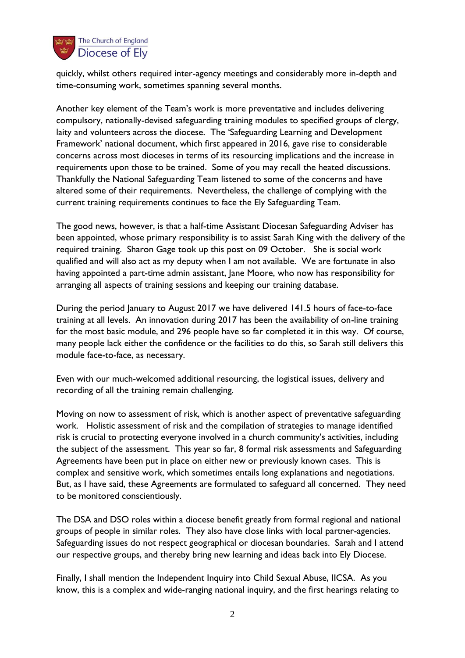

quickly, whilst others required inter-agency meetings and considerably more in-depth and time-consuming work, sometimes spanning several months.

Another key element of the Team's work is more preventative and includes delivering compulsory, nationally-devised safeguarding training modules to specified groups of clergy, laity and volunteers across the diocese. The 'Safeguarding Learning and Development Framework' national document, which first appeared in 2016, gave rise to considerable concerns across most dioceses in terms of its resourcing implications and the increase in requirements upon those to be trained. Some of you may recall the heated discussions. Thankfully the National Safeguarding Team listened to some of the concerns and have altered some of their requirements. Nevertheless, the challenge of complying with the current training requirements continues to face the Ely Safeguarding Team.

The good news, however, is that a half-time Assistant Diocesan Safeguarding Adviser has been appointed, whose primary responsibility is to assist Sarah King with the delivery of the required training. Sharon Gage took up this post on 09 October. She is social work qualified and will also act as my deputy when I am not available. We are fortunate in also having appointed a part-time admin assistant, Jane Moore, who now has responsibility for arranging all aspects of training sessions and keeping our training database.

During the period January to August 2017 we have delivered 141.5 hours of face-to-face training at all levels. An innovation during 2017 has been the availability of on-line training for the most basic module, and 296 people have so far completed it in this way. Of course, many people lack either the confidence or the facilities to do this, so Sarah still delivers this module face-to-face, as necessary.

Even with our much-welcomed additional resourcing, the logistical issues, delivery and recording of all the training remain challenging.

Moving on now to assessment of risk, which is another aspect of preventative safeguarding work. Holistic assessment of risk and the compilation of strategies to manage identified risk is crucial to protecting everyone involved in a church community's activities, including the subject of the assessment. This year so far, 8 formal risk assessments and Safeguarding Agreements have been put in place on either new or previously known cases. This is complex and sensitive work, which sometimes entails long explanations and negotiations. But, as I have said, these Agreements are formulated to safeguard all concerned. They need to be monitored conscientiously.

The DSA and DSO roles within a diocese benefit greatly from formal regional and national groups of people in similar roles. They also have close links with local partner-agencies. Safeguarding issues do not respect geographical or diocesan boundaries. Sarah and I attend our respective groups, and thereby bring new learning and ideas back into Ely Diocese.

Finally, I shall mention the Independent Inquiry into Child Sexual Abuse, IICSA. As you know, this is a complex and wide-ranging national inquiry, and the first hearings relating to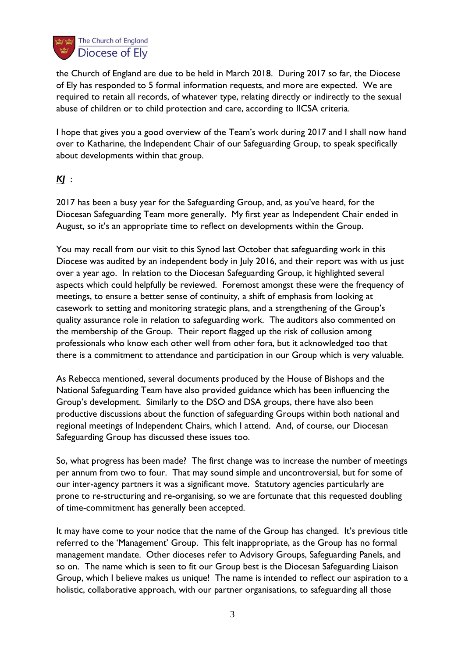

the Church of England are due to be held in March 2018. During 2017 so far, the Diocese of Ely has responded to 5 formal information requests, and more are expected. We are required to retain all records, of whatever type, relating directly or indirectly to the sexual abuse of children or to child protection and care, according to IICSA criteria.

I hope that gives you a good overview of the Team's work during 2017 and I shall now hand over to Katharine, the Independent Chair of our Safeguarding Group, to speak specifically about developments within that group.

## *KJ* :

2017 has been a busy year for the Safeguarding Group, and, as you've heard, for the Diocesan Safeguarding Team more generally. My first year as Independent Chair ended in August, so it's an appropriate time to reflect on developments within the Group.

You may recall from our visit to this Synod last October that safeguarding work in this Diocese was audited by an independent body in July 2016, and their report was with us just over a year ago. In relation to the Diocesan Safeguarding Group, it highlighted several aspects which could helpfully be reviewed. Foremost amongst these were the frequency of meetings, to ensure a better sense of continuity, a shift of emphasis from looking at casework to setting and monitoring strategic plans, and a strengthening of the Group's quality assurance role in relation to safeguarding work. The auditors also commented on the membership of the Group. Their report flagged up the risk of collusion among professionals who know each other well from other fora, but it acknowledged too that there is a commitment to attendance and participation in our Group which is very valuable.

As Rebecca mentioned, several documents produced by the House of Bishops and the National Safeguarding Team have also provided guidance which has been influencing the Group's development. Similarly to the DSO and DSA groups, there have also been productive discussions about the function of safeguarding Groups within both national and regional meetings of Independent Chairs, which I attend. And, of course, our Diocesan Safeguarding Group has discussed these issues too.

So, what progress has been made? The first change was to increase the number of meetings per annum from two to four. That may sound simple and uncontroversial, but for some of our inter-agency partners it was a significant move. Statutory agencies particularly are prone to re-structuring and re-organising, so we are fortunate that this requested doubling of time-commitment has generally been accepted.

It may have come to your notice that the name of the Group has changed. It's previous title referred to the 'Management' Group. This felt inappropriate, as the Group has no formal management mandate. Other dioceses refer to Advisory Groups, Safeguarding Panels, and so on. The name which is seen to fit our Group best is the Diocesan Safeguarding Liaison Group, which I believe makes us unique! The name is intended to reflect our aspiration to a holistic, collaborative approach, with our partner organisations, to safeguarding all those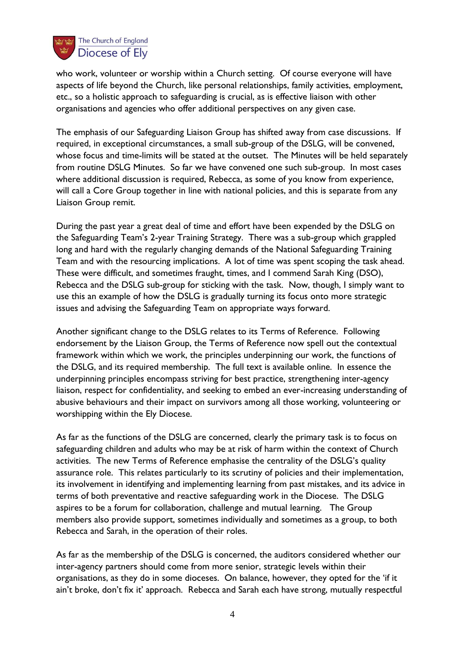

who work, volunteer or worship within a Church setting. Of course everyone will have aspects of life beyond the Church, like personal relationships, family activities, employment, etc., so a holistic approach to safeguarding is crucial, as is effective liaison with other organisations and agencies who offer additional perspectives on any given case.

The emphasis of our Safeguarding Liaison Group has shifted away from case discussions. If required, in exceptional circumstances, a small sub-group of the DSLG, will be convened, whose focus and time-limits will be stated at the outset. The Minutes will be held separately from routine DSLG Minutes. So far we have convened one such sub-group. In most cases where additional discussion is required, Rebecca, as some of you know from experience, will call a Core Group together in line with national policies, and this is separate from any Liaison Group remit.

During the past year a great deal of time and effort have been expended by the DSLG on the Safeguarding Team's 2-year Training Strategy. There was a sub-group which grappled long and hard with the regularly changing demands of the National Safeguarding Training Team and with the resourcing implications. A lot of time was spent scoping the task ahead. These were difficult, and sometimes fraught, times, and I commend Sarah King (DSO), Rebecca and the DSLG sub-group for sticking with the task. Now, though, I simply want to use this an example of how the DSLG is gradually turning its focus onto more strategic issues and advising the Safeguarding Team on appropriate ways forward.

Another significant change to the DSLG relates to its Terms of Reference. Following endorsement by the Liaison Group, the Terms of Reference now spell out the contextual framework within which we work, the principles underpinning our work, the functions of the DSLG, and its required membership. The full text is available online. In essence the underpinning principles encompass striving for best practice, strengthening inter-agency liaison, respect for confidentiality, and seeking to embed an ever-increasing understanding of abusive behaviours and their impact on survivors among all those working, volunteering or worshipping within the Ely Diocese.

As far as the functions of the DSLG are concerned, clearly the primary task is to focus on safeguarding children and adults who may be at risk of harm within the context of Church activities. The new Terms of Reference emphasise the centrality of the DSLG's quality assurance role. This relates particularly to its scrutiny of policies and their implementation, its involvement in identifying and implementing learning from past mistakes, and its advice in terms of both preventative and reactive safeguarding work in the Diocese. The DSLG aspires to be a forum for collaboration, challenge and mutual learning. The Group members also provide support, sometimes individually and sometimes as a group, to both Rebecca and Sarah, in the operation of their roles.

As far as the membership of the DSLG is concerned, the auditors considered whether our inter-agency partners should come from more senior, strategic levels within their organisations, as they do in some dioceses. On balance, however, they opted for the 'if it ain't broke, don't fix it' approach. Rebecca and Sarah each have strong, mutually respectful